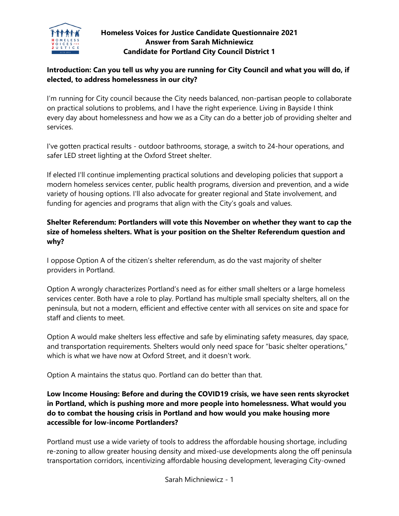

# **Homeless Voices for Justice Candidate Questionnaire 2021 Answer from Sarah Michniewicz Candidate for Portland City Council District 1**

# **Introduction: Can you tell us why you are running for City Council and what you will do, if elected, to address homelessness in our city?**

I'm running for City council because the City needs balanced, non-partisan people to collaborate on practical solutions to problems, and I have the right experience. Living in Bayside I think every day about homelessness and how we as a City can do a better job of providing shelter and services.

I've gotten practical results - outdoor bathrooms, storage, a switch to 24-hour operations, and safer LED street lighting at the Oxford Street shelter.

If elected I'll continue implementing practical solutions and developing policies that support a modern homeless services center, public health programs, diversion and prevention, and a wide variety of housing options. I'll also advocate for greater regional and State involvement, and funding for agencies and programs that align with the City's goals and values.

# **Shelter Referendum: Portlanders will vote this November on whether they want to cap the size of homeless shelters. What is your position on the Shelter Referendum question and why?**

I oppose Option A of the citizen's shelter referendum, as do the vast majority of shelter providers in Portland.

Option A wrongly characterizes Portland's need as for either small shelters or a large homeless services center. Both have a role to play. Portland has multiple small specialty shelters, all on the peninsula, but not a modern, efficient and effective center with all services on site and space for staff and clients to meet.

Option A would make shelters less effective and safe by eliminating safety measures, day space, and transportation requirements. Shelters would only need space for "basic shelter operations," which is what we have now at Oxford Street, and it doesn't work.

Option A maintains the status quo. Portland can do better than that.

# **Low Income Housing: Before and during the COVID19 crisis, we have seen rents skyrocket in Portland, which is pushing more and more people into homelessness. What would you do to combat the housing crisis in Portland and how would you make housing more accessible for low-income Portlanders?**

Portland must use a wide variety of tools to address the affordable housing shortage, including re-zoning to allow greater housing density and mixed-use developments along the off peninsula transportation corridors, incentivizing affordable housing development, leveraging City-owned

Sarah Michniewicz - 1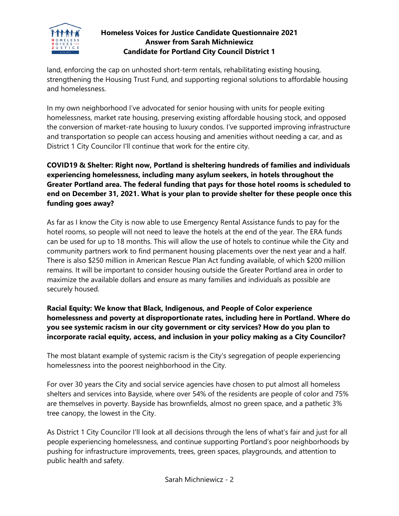

# **Homeless Voices for Justice Candidate Questionnaire 2021 Answer from Sarah Michniewicz Candidate for Portland City Council District 1**

land, enforcing the cap on unhosted short-term rentals, rehabilitating existing housing, strengthening the Housing Trust Fund, and supporting regional solutions to affordable housing and homelessness.

In my own neighborhood I've advocated for senior housing with units for people exiting homelessness, market rate housing, preserving existing affordable housing stock, and opposed the conversion of market-rate housing to luxury condos. I've supported improving infrastructure and transportation so people can access housing and amenities without needing a car, and as District 1 City Councilor I'll continue that work for the entire city.

# **COVID19 & Shelter: Right now, Portland is sheltering hundreds of families and individuals experiencing homelessness, including many asylum seekers, in hotels throughout the Greater Portland area. The federal funding that pays for those hotel rooms is scheduled to end on December 31, 2021. What is your plan to provide shelter for these people once this funding goes away?**

As far as I know the City is now able to use Emergency Rental Assistance funds to pay for the hotel rooms, so people will not need to leave the hotels at the end of the year. The ERA funds can be used for up to 18 months. This will allow the use of hotels to continue while the City and community partners work to find permanent housing placements over the next year and a half. There is also \$250 million in American Rescue Plan Act funding available, of which \$200 million remains. It will be important to consider housing outside the Greater Portland area in order to maximize the available dollars and ensure as many families and individuals as possible are securely housed.

## **Racial Equity: We know that Black, Indigenous, and People of Color experience homelessness and poverty at disproportionate rates, including here in Portland. Where do you see systemic racism in our city government or city services? How do you plan to incorporate racial equity, access, and inclusion in your policy making as a City Councilor?**

The most blatant example of systemic racism is the City's segregation of people experiencing homelessness into the poorest neighborhood in the City.

For over 30 years the City and social service agencies have chosen to put almost all homeless shelters and services into Bayside, where over 54% of the residents are people of color and 75% are themselves in poverty. Bayside has brownfields, almost no green space, and a pathetic 3% tree canopy, the lowest in the City.

As District 1 City Councilor I'll look at all decisions through the lens of what's fair and just for all people experiencing homelessness, and continue supporting Portland's poor neighborhoods by pushing for infrastructure improvements, trees, green spaces, playgrounds, and attention to public health and safety.